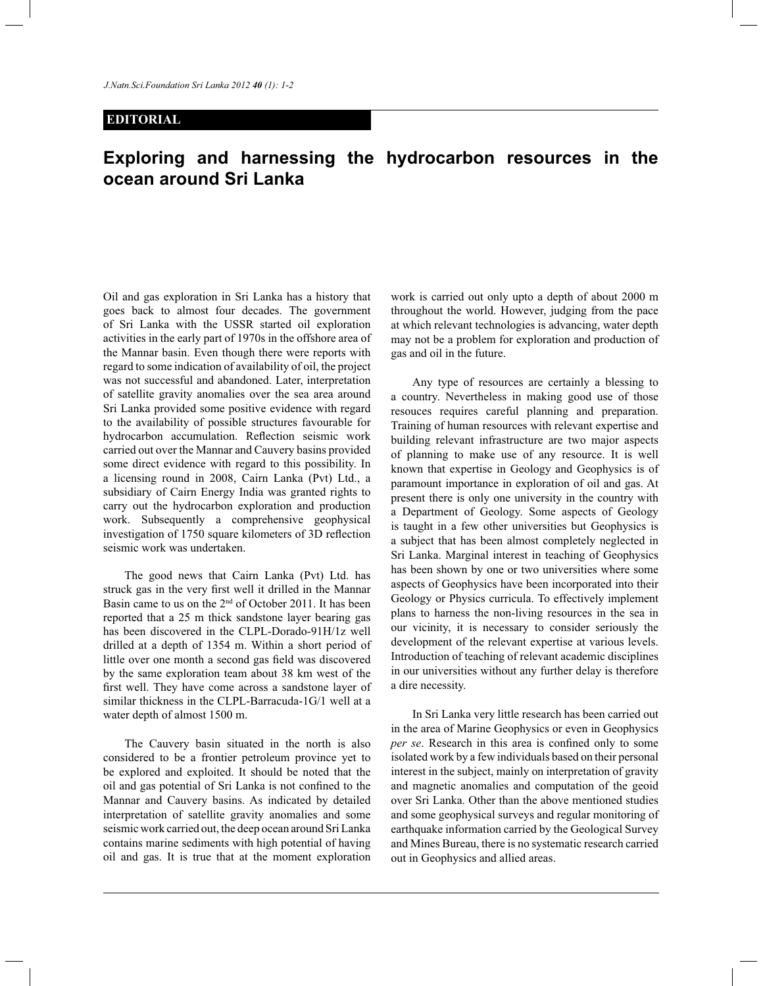## **EDITORIAL**

## **Exploring and harnessing the hydrocarbon resources in the ocean around Sri Lanka**

Oil and gas exploration in Sri Lanka has a history that goes back to almost four decades. The government of Sri Lanka with the USSR started oil exploration activities in the early part of 1970s in the offshore area of the Mannar basin. Even though there were reports with regard to some indication of availability of oil, the project was not successful and abandoned. Later, interpretation of satellite gravity anomalies over the sea area around Sri Lanka provided some positive evidence with regard to the availability of possible structures favourable for hydrocarbon accumulation. Reflection seismic work carried out over the Mannar and Cauvery basins provided some direct evidence with regard to this possibility. In a licensing round in 2008, Cairn Lanka (Pvt) Ltd., a subsidiary of Cairn Energy India was granted rights to carry out the hydrocarbon exploration and production work. Subsequently a comprehensive geophysical investigation of 1750 square kilometers of 3D reflection seismic work was undertaken.

 The good news that Cairn Lanka (Pvt) Ltd. has struck gas in the very first well it drilled in the Mannar Basin came to us on the 2nd of October 2011. It has been reported that a 25 m thick sandstone layer bearing gas has been discovered in the CLPL-Dorado-91H/1z well drilled at a depth of 1354 m. Within a short period of little over one month a second gas field was discovered by the same exploration team about 38 km west of the first well. They have come across a sandstone layer of similar thickness in the CLPL-Barracuda-1G/1 well at a water depth of almost 1500 m.

 The Cauvery basin situated in the north is also considered to be a frontier petroleum province yet to be explored and exploited. It should be noted that the oil and gas potential of Sri Lanka is not confined to the Mannar and Cauvery basins. As indicated by detailed interpretation of satellite gravity anomalies and some seismic work carried out, the deep ocean around Sri Lanka contains marine sediments with high potential of having oil and gas. It is true that at the moment exploration

work is carried out only upto a depth of about 2000 m throughout the world. However, judging from the pace at which relevant technologies is advancing, water depth may not be a problem for exploration and production of gas and oil in the future.

 Any type of resources are certainly a blessing to a country. Nevertheless in making good use of those resouces requires careful planning and preparation. Training of human resources with relevant expertise and building relevant infrastructure are two major aspects of planning to make use of any resource. It is well known that expertise in Geology and Geophysics is of paramount importance in exploration of oil and gas. At present there is only one university in the country with a Department of Geology. Some aspects of Geology is taught in a few other universities but Geophysics is a subject that has been almost completely neglected in Sri Lanka. Marginal interest in teaching of Geophysics has been shown by one or two universities where some aspects of Geophysics have been incorporated into their Geology or Physics curricula. To effectively implement plans to harness the non-living resources in the sea in our vicinity, it is necessary to consider seriously the development of the relevant expertise at various levels. Introduction of teaching of relevant academic disciplines in our universities without any further delay is therefore a dire necessity.

 In Sri Lanka very little research has been carried out in the area of Marine Geophysics or even in Geophysics *per se*. Research in this area is confined only to some isolated work by a few individuals based on their personal interest in the subject, mainly on interpretation of gravity and magnetic anomalies and computation of the geoid over Sri Lanka. Other than the above mentioned studies and some geophysical surveys and regular monitoring of earthquake information carried by the Geological Survey and Mines Bureau, there is no systematic research carried out in Geophysics and allied areas.